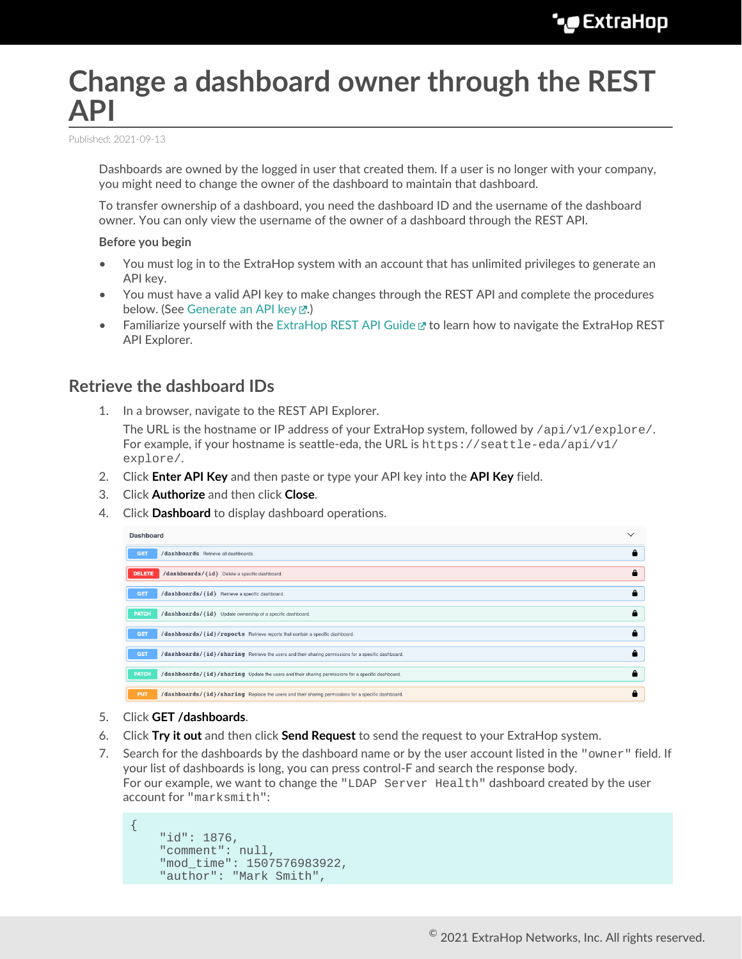# **Change a dashboard owner through the REST API**

Published: 2021-09-13

Dashboards are owned by the logged in user that created them. If a user is no longer with your company, you might need to change the owner of the dashboard to maintain that dashboard.

To transfer ownership of a dashboard, you need the dashboard ID and the username of the dashboard owner. You can only view the username of the owner of a dashboard through the REST API.

#### **Before you begin**

- You must log in to the ExtraHop system with an account that has unlimited privileges to generate an API key.
- You must have a valid API key to make changes through the REST API and complete the procedures below. (See [Generate an API key](https://docs.extrahop.com/8.4/rest-api-guide/#generate-an-api-key)  $\mathbb{Z}$ .)
- Familiarize yourself with the [ExtraHop REST API Guide](https://docs.extrahop.com/8.4/rest-api-guide/)  $E$  to learn how to navigate the ExtraHop REST API Explorer.

### **Retrieve the dashboard IDs**

1. In a browser, navigate to the REST API Explorer.

The URL is the hostname or IP address of your ExtraHop system, followed by  $\pi/2$  /v1/explore/. For example, if your hostname is seattle-eda, the URL is https://seattle-eda/api/v1/ explore/.

- 2. Click **Enter API Key** and then paste or type your API key into the **API Key** field.
- 3. Click **Authorize** and then click **Close**.
- 4. Click **Dashboard** to display dashboard operations.

| <b>Dashboard</b>                                                                                                  | $\checkmark$ |
|-------------------------------------------------------------------------------------------------------------------|--------------|
| /dashboards Retrieve all dashboards.<br><b>GET</b>                                                                |              |
| <b>DELETE</b><br>/dashboards/{id} Delete a specific dashboard.                                                    | А            |
| <b>GET</b><br>/dashboards/{id} Retrieve a specific dashboard.                                                     | А            |
| /dashboards/{id} Update ownership of a specific dashboard.<br><b>PATCH</b>                                        | А            |
| <b>GET</b><br>/dashboards/{id}/reports Retrieve reports that contain a specific dashboard.                        | А            |
| <b>GET</b><br>/dashboards/{id}/sharing Retrieve the users and their sharing permissions for a specific dashboard. |              |
| <b>PATCH</b><br>/dashboards/{id}/sharing Update the users and their sharing permissions for a specific dashboard. | А            |
| <b>PUT</b><br>/dashboards/{id}/sharing Replace the users and their sharing permissions for a specific dashboard.  | А            |

- 5. Click **GET /dashboards**.
- 6. Click **Try it out** and then click **Send Request** to send the request to your ExtraHop system.
- 7. Search for the dashboards by the dashboard name or by the user account listed in the "owner" field. If your list of dashboards is long, you can press control-F and search the response body. For our example, we want to change the "LDAP Server Health" dashboard created by the user account for "marksmith":

```
{
     "id": 1876,
     "comment": null,
     "mod_time": 1507576983922,
     "author": "Mark Smith",
```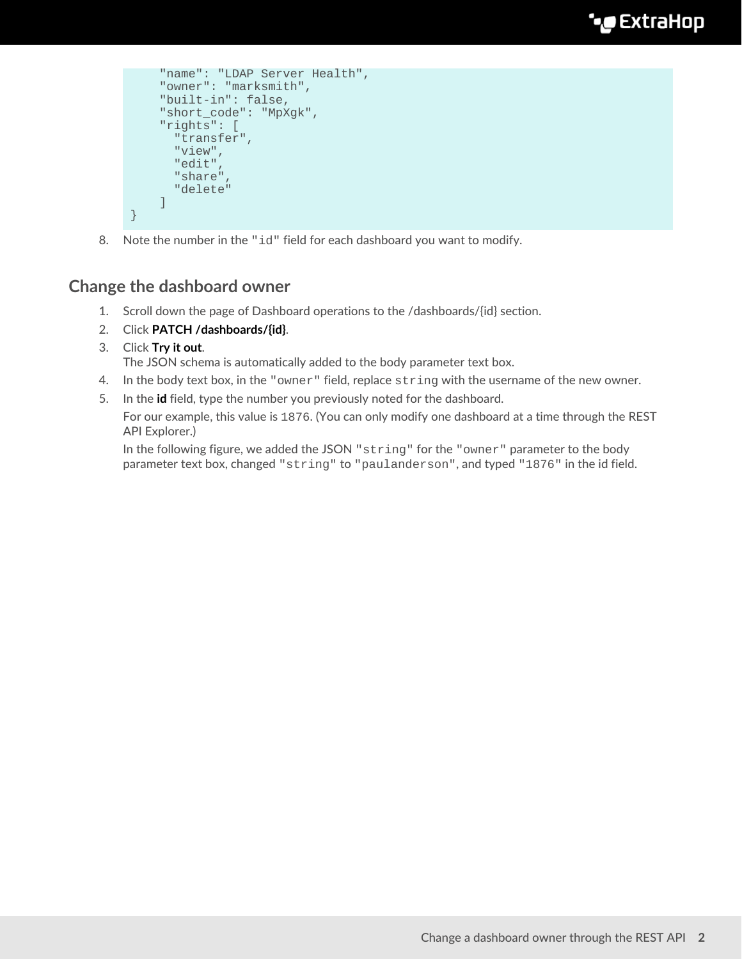```
 "name": "LDAP Server Health",
     "owner": "marksmith",
     "built-in": false,
     "short_code": "MpXgk",
     "rights": [
       "transfer",
       "view",
       "edit",
       "share",
       "delete"
     ]
}
```
8. Note the number in the "id" field for each dashboard you want to modify.

## **Change the dashboard owner**

- 1. Scroll down the page of Dashboard operations to the /dashboards/{id} section.
- 2. Click **PATCH /dashboards/{id}**.
- 3. Click **Try it out**.

The JSON schema is automatically added to the body parameter text box.

- 4. In the body text box, in the "owner" field, replace string with the username of the new owner.
- 5. In the **id** field, type the number you previously noted for the dashboard.

For our example, this value is 1876. (You can only modify one dashboard at a time through the REST API Explorer.)

In the following figure, we added the JSON "string" for the "owner" parameter to the body parameter text box, changed "string" to "paulanderson", and typed "1876" in the id field.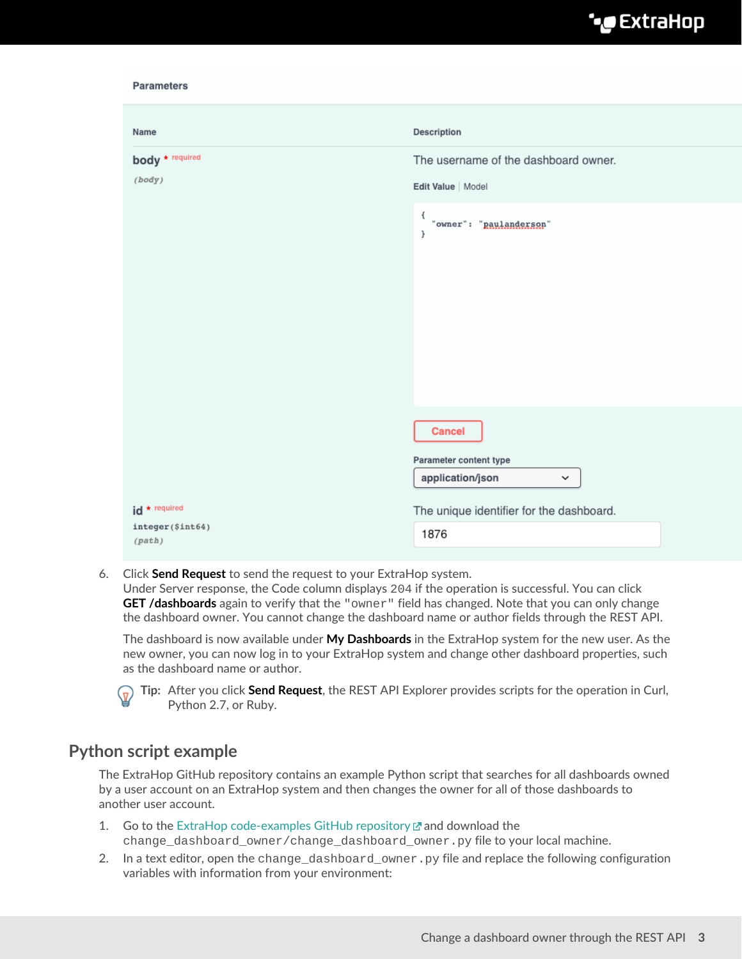| Parameters                                 |                                                                                                                        |
|--------------------------------------------|------------------------------------------------------------------------------------------------------------------------|
| Name                                       | Description                                                                                                            |
| body * required<br>(body)<br>id * required | The username of the dashboard owner.<br>Edit Value   Model                                                             |
|                                            | €<br>"owner": "paulanderson"<br>$\mathcal{F}$                                                                          |
|                                            | <b>Cancel</b><br>Parameter content type<br>application/json<br>$\check{~}$<br>The unique identifier for the dashboard. |
| integer(\$int64)<br>(path)                 | 1876                                                                                                                   |

6. Click **Send Request** to send the request to your ExtraHop system. Under Server response, the Code column displays 204 if the operation is successful. You can click **GET /dashboards** again to verify that the "owner" field has changed. Note that you can only change the dashboard owner. You cannot change the dashboard name or author fields through the REST API.

The dashboard is now available under **My Dashboards** in the ExtraHop system for the new user. As the new owner, you can now log in to your ExtraHop system and change other dashboard properties, such as the dashboard name or author.



**Tip:** After you click **Send Request**, the REST API Explorer provides scripts for the operation in Curl, Python 2.7, or Ruby.

### **Python script example**

The ExtraHop GitHub repository contains an example Python script that searches for all dashboards owned by a user account on an ExtraHop system and then changes the owner for all of those dashboards to another user account.

- 1. Go to the [ExtraHop code-examples GitHub repository](https://github.com/ExtraHop/code-examples) E and download the change\_dashboard\_owner/change\_dashboard\_owner.py file to your local machine.
- 2. In a text editor, open the change\_dashboard\_owner.py file and replace the following configuration variables with information from your environment: